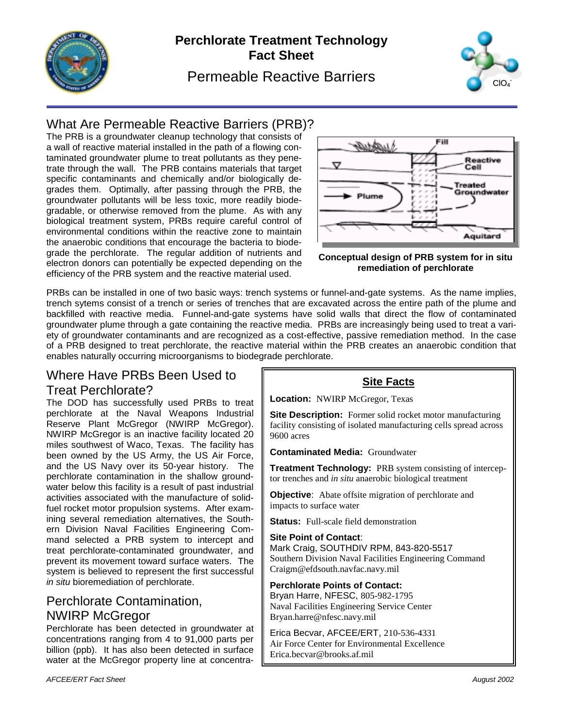

# **Perchlorate Treatment Technology Fact Sheet**



# Permeable Reactive Barriers

# What Are Permeable Reactive Barriers (PRB)?

The PRB is a groundwater cleanup technology that consists of a wall of reactive material installed in the path of a flowing contaminated groundwater plume to treat pollutants as they penetrate through the wall. The PRB contains materials that target specific contaminants and chemically and/or biologically degrades them. Optimally, after passing through the PRB, the groundwater pollutants will be less toxic, more readily biodegradable, or otherwise removed from the plume. As with any biological treatment system, PRBs require careful control of environmental conditions within the reactive zone to maintain the anaerobic conditions that encourage the bacteria to biodegrade the perchlorate. The regular addition of nutrients and electron donors can potentially be expected depending on the efficiency of the PRB system and the reactive material used.



#### **Conceptual design of PRB system for in situ remediation of perchlorate**

PRBs can be installed in one of two basic ways: trench systems or funnel-and-gate systems. As the name implies, trench sytems consist of a trench or series of trenches that are excavated across the entire path of the plume and backfilled with reactive media. Funnel-and-gate systems have solid walls that direct the flow of contaminated groundwater plume through a gate containing the reactive media. PRBs are increasingly being used to treat a variety of groundwater contaminants and are recognized as a cost-effective, passive remediation method. In the case of a PRB designed to treat perchlorate, the reactive material within the PRB creates an anaerobic condition that enables naturally occurring microorganisms to biodegrade perchlorate.

# Where Have PRBs Been Used to Treat Perchlorate?

The DOD has successfully used PRBs to treat perchlorate at the Naval Weapons Industrial Reserve Plant McGregor (NWIRP McGregor). NWIRP McGregor is an inactive facility located 20 miles southwest of Waco, Texas. The facility has been owned by the US Army, the US Air Force, and the US Navy over its 50-year history. The perchlorate contamination in the shallow groundwater below this facility is a result of past industrial activities associated with the manufacture of solidfuel rocket motor propulsion systems. After examining several remediation alternatives, the Southern Division Naval Facilities Engineering Command selected a PRB system to intercept and treat perchlorate-contaminated groundwater, and prevent its movement toward surface waters. The system is believed to represent the first successful *in situ* bioremediation of perchlorate.

# Perchlorate Contamination, NWIRP McGregor

Perchlorate has been detected in groundwater at concentrations ranging from 4 to 91,000 parts per billion (ppb). It has also been detected in surface water at the McGregor property line at concentra-

### **Site Facts**

**Location: NWIRP McGregor, Texas** 

**Site Description:** Former solid rocket motor manufacturing facility consisting of isolated manufacturing cells spread across 9600 acres

**Contaminated Media:** Groundwater

**Treatment Technology:** PRB system consisting of interceptor trenches and *in situ* anaerobic biological treatment

**Objective:** Abate offsite migration of perchlorate and impacts to surface water

**Status:** Full-scale field demonstration

#### **Site Point of Contact**:

Mark Craig, SOUTHDIV RPM, 843-820-5517 Southern Division Naval Facilities Engineering Command Craigm@efdsouth.navfac.navy.mil

**Perchlorate Points of Contact:** 

Bryan Harre, NFESC, 805-982-1795 Naval Facilities Engineering Service Center Bryan.harre@nfesc.navy.mil

Erica Becvar, AFCEE/ERT, 210-536-4331 Air Force Center for Environmental Excellence Erica.becvar@brooks.af.mil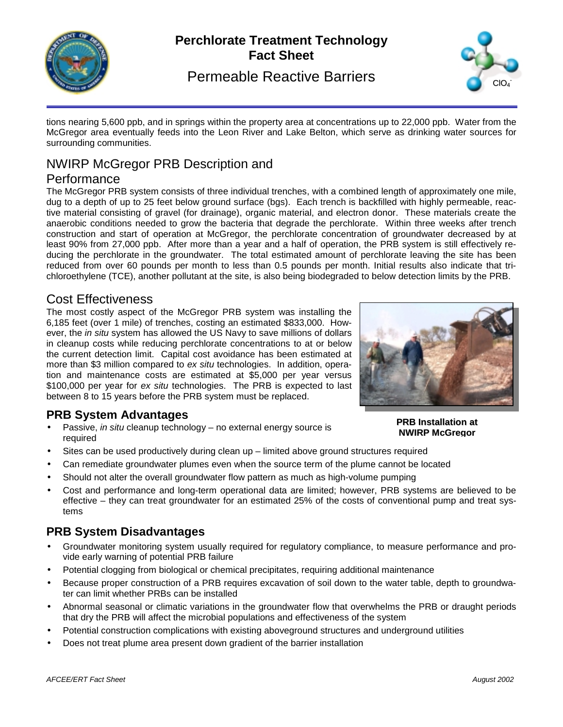

# **Perchlorate Treatment Technology Fact Sheet**

# Permeable Reactive Barriers



tions nearing 5,600 ppb, and in springs within the property area at concentrations up to 22,000 ppb. Water from the McGregor area eventually feeds into the Leon River and Lake Belton, which serve as drinking water sources for surrounding communities.

#### NWIRP McGregor PRB Description and **Performance**

The McGregor PRB system consists of three individual trenches, with a combined length of approximately one mile, dug to a depth of up to 25 feet below ground surface (bgs). Each trench is backfilled with highly permeable, reactive material consisting of gravel (for drainage), organic material, and electron donor. These materials create the anaerobic conditions needed to grow the bacteria that degrade the perchlorate. Within three weeks after trench construction and start of operation at McGregor, the perchlorate concentration of groundwater decreased by at least 90% from 27,000 ppb. After more than a year and a half of operation, the PRB system is still effectively reducing the perchlorate in the groundwater. The total estimated amount of perchlorate leaving the site has been reduced from over 60 pounds per month to less than 0.5 pounds per month. Initial results also indicate that trichloroethylene (TCE), another pollutant at the site, is also being biodegraded to below detection limits by the PRB.

## Cost Effectiveness

The most costly aspect of the McGregor PRB system was installing the 6,185 feet (over 1 mile) of trenches, costing an estimated \$833,000. However, the *in situ* system has allowed the US Navy to save millions of dollars in cleanup costs while reducing perchlorate concentrations to at or below the current detection limit. Capital cost avoidance has been estimated at more than \$3 million compared to *ex situ* technologies. In addition, operation and maintenance costs are estimated at \$5,000 per year versus \$100,000 per year for *ex situ* technologies. The PRB is expected to last between 8 to 15 years before the PRB system must be replaced.



## **PRB System Advantages**

- Passive, *in situ* cleanup technology no external energy source is required
- **PRB Installation at NWIRP McGregor**
- Sites can be used productively during clean  $up$  limited above ground structures required
- Can remediate groundwater plumes even when the source term of the plume cannot be located
- Should not alter the overall groundwater flow pattern as much as high-volume pumping
- Cost and performance and long-term operational data are limited; however, PRB systems are believed to be effective – they can treat groundwater for an estimated 25% of the costs of conventional pump and treat systems

## **PRB System Disadvantages**

- Groundwater monitoring system usually required for regulatory compliance, to measure performance and provide early warning of potential PRB failure
- Potential clogging from biological or chemical precipitates, requiring additional maintenance
- Because proper construction of a PRB requires excavation of soil down to the water table, depth to groundwater can limit whether PRBs can be installed
- Abnormal seasonal or climatic variations in the groundwater flow that overwhelms the PRB or draught periods that dry the PRB will affect the microbial populations and effectiveness of the system
- Potential construction complications with existing aboveground structures and underground utilities
- Does not treat plume area present down gradient of the barrier installation